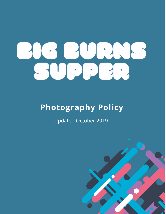# 

# **Photography Policy**

**Updated October 2019** 

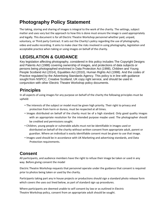# **Photography Policy Statement**

The taking, storing and sharing of images is integral to the work of the charity. The settings, subject matter and uses vary but the approach to how this is done must ensure the image is used appropriately and legally. This document is for all Electric Theatre Workshop personnel whether paid, unpaid, voluntary, or Third party Contract. It sets out the Charity's policy regarding the use of photography, video and audio recording. It aims to make clear the risks involved in using photography, legislation and acceptable practice when taking or using images on behalf of the charity.

# **LEGISLATION & GUIDANCE**

Key legislation affecting photography, considered in this policy includes The Copyright Designs and Patents Act (1988) covering ownership of images, and protections of data subjects or persons being photographed enshrined in Data Protection Act (1998), Children and Young People Scotland Act (2014), Equalities Act (2010), Human Rights Act (1998). And the codes of Practice regulated by the Advertising Standards Agency. This policy is in line with guidance sought from NSPCC, Creative Scotland, UK copy right service, and should be used in conjunction with other Electric Theatre Workshop policy documents.

# **Principles**

In all aspects of using images for any purpose on behalf of the charity the following principles must be upheld:

- The interests of the subject or model must be given high priority. Their right to privacy and protection from harm or duress, must be respected at all times.
- Images distributed on behalf of the charity must be of a high standard. Only good quality images with an appropriate resolution for the intended purpose maybe used. The photographer should be credited and permissions sought.
- Children, young people or vulnerable adults must not be identifiable in images used or distributed on behalf of the charity without written consent from appropriate adult, parent or guardian. Where an individual is easily identifiable consent must be given to use that image.
- Images used should be in accordance with UK Marketing and advertising standards, and Data Protection requirements.

# **Consent**

All participants, and audience members have the right to refuse their image be taken or used in any way. Before giving consent the model

Electric Theatre Workshop requests that personnel operate under the guidance that consent is required prior to photos being taken or used by the charity.

Participants taking part any in house projects or productions should sign a standard photo release form which covers the uses out lined below, as part of standard sign up procedures.

Where participants are deemed unable to self consent by law or as outlined in Electric Theatre Workshop policy, consent from an appropriate adult should be sought.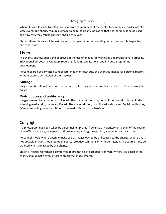### Photography Policy <sup>1</sup>

Where it is not feasible to collect consent from all members of the public, for example crowd shots at a large event. The charity requires signage to be hung clearly indicating that photography is being used and how they may refuse consent. should they wish.

Photo release clauses will be written in to third party contracts relating to performers, photographers and other staff.

## **Uses**

The charity acknowledges and approves of the use of images for Marketing and promotional purposes, Educational purposes, evaluation, reporting, funding applications, and in house programme development.

Personnel are not permitted to replicate, modify or distribute the charities images for personal reasons without express permission of the trustees.

### **Storage**

Images created should be stored under data protection guidelines outlined in Electric Theatre Workshop policy.

### **Distribution and publishing**

Images created by or on behalf of Electric Theatre Workshop may be published and distributed in the following media print, online via Electric Theatre Workshop, or affiliated website and Social media sites, TV news reporting, or other platform deemed suitable by the trustees.

# Copyright

If a photograph has been taken by personnel, employed, freelance or voluntary, on behalf of the charity in an official capacity, ownership of those images, and right to publish, is retained by the charity.

Personnel should where possible make use of images owned by or licensed to the charity. Where this is not possible images should be open source, creative commons or with permission. The source must be credited when published by the Charity.

Electric Theatre Workshop is committed to promoting the producers of work. Where it is possible the charity should make every effort to credit the image creator.